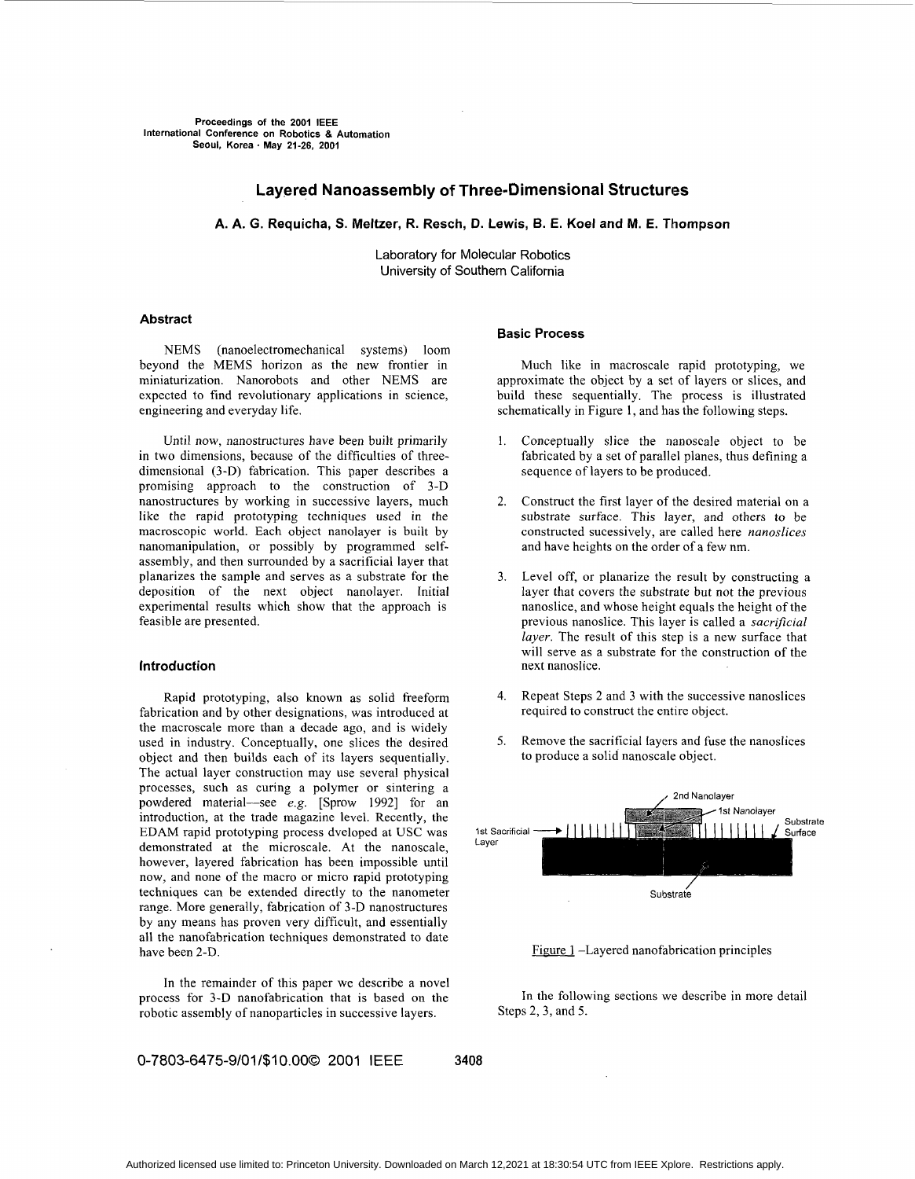# **Layered Nanoassem bly of Three-Dimensional Structures**

**A. A. G. Requicha, S. Meltzer, R. Resch, D. Lewis, B. E. Koel and M. E. Thompson** 

Laboratory for Molecular Robotics University of Southern California

## **Abstract**

NEMS (nanoelectromechanical systems) loom beyond the MEMS horizon as the new frontier in miniaturization. Nanorobots and other NEMS are expected to find revolutionary applications in science, engineering and everyday life.

Until now, nanostructures have been built primarily in two dimensions, because of the difficulties of threedimensional (3-D) fabrication. This paper describes a promising approach to the construction of 3-D nanostructures by working in successive layers, much like the rapid prototyping techniques used in the macroscopic world. Each object nanolayer is built by nanomanipulation, or possibly by programmed selfassembly, and then surrounded by a sacrificial layer that planarizes the sample and serves as a substrate for the deposition of the next object nanolayer. Initial experimental results which show that the approach is feasible are presented.

## **Introduction**

Rapid prototyping, also known as solid freeform fabrication and by other designations, was introduced at the macroscale more than a decade ago, and is widely used in industry. Conceptually, one slices the desired object and then builds each of its layers sequentially. The actual layer construction may use several physical processes, such as curing a polymer or sintering a powdered material-see *e.g.* [Sprow 1992] for an introduction, at the trade magazine level. Recently, the EDAM rapid prototyping process dveloped at USC was demonstrated at the microscale. At the nanoscale, however, layered fabrication has been impossible until now, and none of the macro or micro rapid prototyping techniques can be extended directly to the nanometer range. More generally, fabrication of 3-D nanostructures by any means has proven very difficult, and essentially all the nanofabrication techniques demonstrated to date have been 2-D.

In the remainder of this paper we describe a novel process for 3-D nanofabrication that is based on the robotic assembly of nanoparticles in successive layers.

#### **Basic Process**

Much like in macroscale rapid prototyping, we approximate the object by a set of layers or slices, and build these sequentially. The process is illustrated schematically in Figure 1, and has the following steps.

- 1. Conceptually slice the nanoscale object to be fabricated by a set of parallel planes, thus defining a sequence of layers to be produced.
- 2. Construct the first layer of the desired material on a substrate surface. This layer, and others to be constructed sucessively, are called here *nanoslices*  and have heights on the order of a few nm.
- *3.*  Level off, or planarize the result by constructing a layer that covers the substrate but not the previous nanoslice, and whose height equals the height of the previous nanoslice. This layer is called a *sacrificial layer.* The result of this step is a new surface that will serve as a substrate for the construction of the next nanoslice.
- 4. Repeat Steps *2* and 3 with the successive nanoslices required to construct the entire object.
- *5.*  Remove the sacrificial layers and fuse the nanoslices to produce a solid nanoscale object.





In the following sections we describe in more detail Steps 2, 3, and 5.

**0-7803-6475-9/01** /\$I *0.000* 2001 IEEE **<sup>3408</sup>**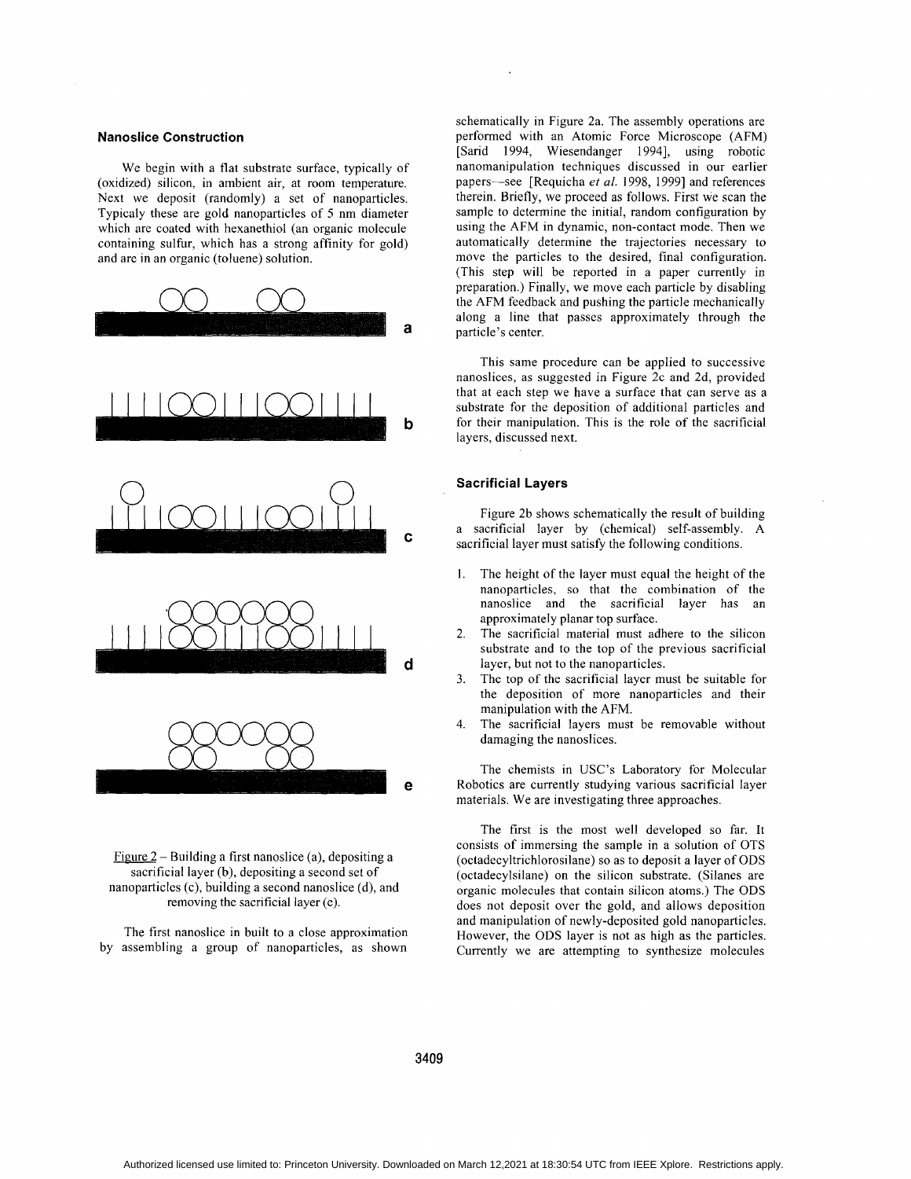#### **Nanoslice Construction**

We begin with a flat substrate surface, typically of (oxidized) silicon, in ambient air, at room temperature. Next we deposit (randomly) a set of nanoparticles. Typicaly these are gold nanoparticles of 5 nm diameter which are coated with hexanethiol (an organic molecule containing sulfur, which has a strong affinity for gold)



Figure  $2$  – Building a first nanoslice (a), depositing a sacrificial layer (b), depositing a second set of nanoparticles (c), building a second nanoslice (d), and removing the sacrificial layer (e).

The first nanoslice in built to a close approximation by assembling a group of nanoparticles, as shown schematically in Figure 2a. The assembly operations are performed with an Atomic Force Microscope (AFM) [Sarid 1994, Wiesendanger 19941, using robotic nanomanipulation techniques discussed in our earlier papers-see [Requicha *et al.* 1998, 1999] and references therein. Briefly, we proceed as follows. First we scan the sample to determine the initial, random configuration by using the AFM in dynamic, non-contact mode. Then we automatically determine the trajectories necessary to move the particles to the desired, final configuration. (This step will be reported in a paper currently in preparation.) Finally, we move each particle by disabling the AFM feedback and pushing the particle mechanically along a line that passes approximately through the particle's center.

This same procedure can be applied to successive nanoslices, as suggested in Figure 2c and 2d, provided that at each step we have a surface that can serve as a substrate for the deposition of additional particles and for their manipulation. This is the role of the sacrificial layers, discussed next.

### **Sacrificial Layers**

Figure 2b shows schematically the result of building a sacrificial layer by (chemical) self-assembly. A sacrificial layer must satisfy the following conditions.

- 1. The height of the layer must equal the height of the nanoparticles, so that the combination of the nanoslice and the sacrificial layer has an approximately planar top surface.
- 2. The sacrificial material must adhere to the silicon substrate and to the top of the previous sacrificial layer, but not to the nanoparticles.
- The top of the sacrificial layer must be suitable for the deposition of more nanoparticles and their manipulation with the AFM. 3.
- The sacrificial layers must be removable without damaging the nanoslices. 4.

The chemists in USC's Laboratory for Molecular Robotics are currently studying various sacrificial layer materials. We are investigating three approaches.

The first is the most well developed so far. It consists of immersing the sample in a solution of OTS (octadecyltrichlorosilane) so as to deposit a layer of ODS (octadecylsilane) on the silicon substrate. (Silanes are organic molecules that contain silicon atoms.) The ODS does not deposit over the gold, and allows deposition and manipulation of newly-deposited gold nanoparticles. However, the ODS layer is not as high as the particles. Currently we are attempting to synthesize molecules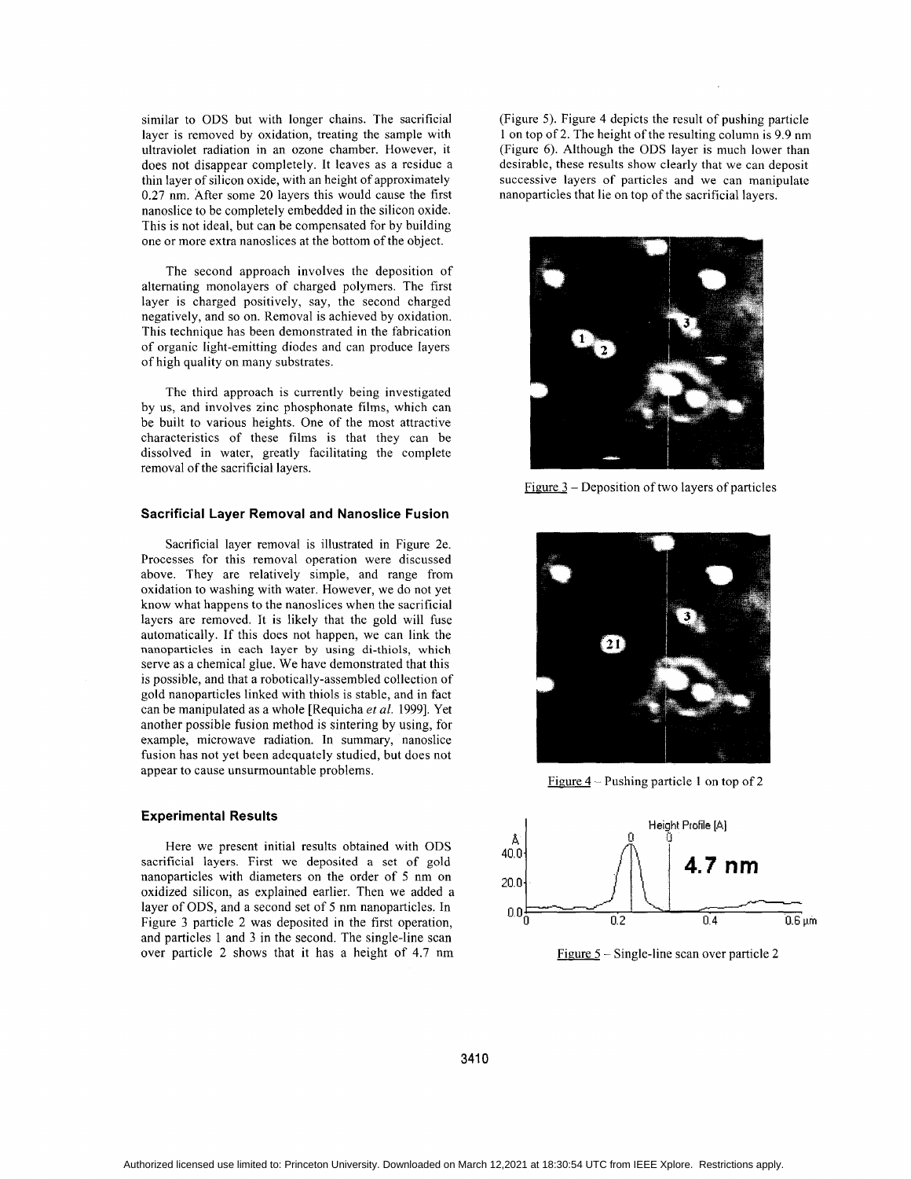similar to ODS but with longer chains. The sacrificial layer is removed by oxidation, treating the sample with ultraviolet radiation in an ozone chamber. However, it does not disappear completely. It leaves as a residue a thin layer of silicon oxide, with an height of approximately 0.27 nm. After some 20 layers this would cause the first nanoslice to be completely embedded in the silicon oxide. This is not ideal, but can be compensated for by building one or more extra nanoslices at the bottom of the object.

The second approach involves the deposition of alternating monolayers of charged polymers. The first layer is charged positively, say, the second charged negatively, and so on. Removal is achieved by oxidation. This technique has been demonstrated in the fabrication of organic light-emitting diodes and can produce layers of high quality on many substrates.

The third approach is currently being investigated by us, and involves zinc phosphonate films, which can be built to various heights. One of the most attractive characteristics of these films is that they can be dissolved in water, greatly facilitating the complete removal of the sacrificial layers.

### **Sacrificial Layer Removal and Nanoslice Fusion**

Sacrificial layer removal is illustrated in Figure 2e. Processes for this removal operation were discussed above. They are relatively simple, and range from oxidation to washing with water. However, we do not yet know what happens to the nanoslices when the sacrificial layers are removed. It is likely that the gold will fuse automatically. If this does not happen, we can link the nanoparticles in each **layer by using** di-thiols, which serve as a chemical glue. We have demonstrated that this is possible, and that a robotically-assembled collection of gold nanoparticles linked with thiols is stable, and in fact can be manipulated as a whole [Requicha et al. 1999]. Yet another possible fusion method is sintering by using, for example, microwave radiation. In summary, nanoslice fusion has not yet been adequately studied, but does not appear to cause unsurmountable problems.

#### **Experimental Results**

Here we present initial results obtained with ODS sacrificial layers. First we deposited a set of gold nanoparticles with diameters on the order of *5* nm on oxidized silicon, as explained earlier. Then we added a layer of ODs, and a second set of *5* nm nanoparticles. In Figure 3 particle 2 was deposited in the first operation, and particles 1 and 3 in the second. The single-line scan over particle 2 shows that it has a height of 4.7 nm (Figure *5).* Figure 4 depicts the result of pushing particle 1 on top of 2. The height of the resulting column is 9.9 nm (Figure 6). Although the ODS layer is much lower than desirable, these results show clearly that we can deposit successive layers of particles and we can manipulate nanoparticles that lie on top of the sacrificial layers.



Figure *3* - Deposition of two layers of particles



Figure  $4$  – Pushing particle 1 on top of 2



Figure *5* - Single-line scan over particle **<sup>2</sup>**

**341 0**